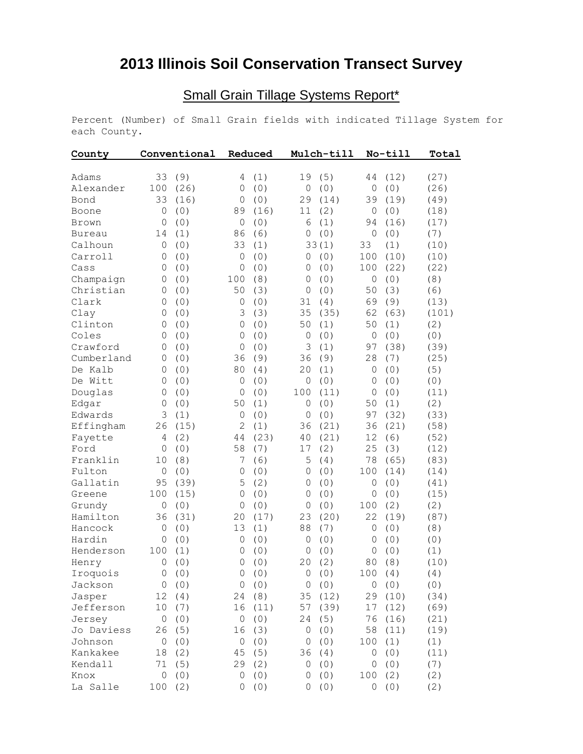## **2013 Illinois Soil Conservation Transect Survey**

## Small Grain Tillage Systems Report\*

Percent (Number) of Small Grain fields with indicated Tillage System for each County.

| County        | Conventional   |       | Reduced        |       | Mulch-till     |       | No-till      |      | Total |
|---------------|----------------|-------|----------------|-------|----------------|-------|--------------|------|-------|
| Adams         | 33             | (9)   | 4              | (1)   | 19             | (5)   | 44           | (12) | (27)  |
| Alexander     | 100            | (26)  | $\mathbf{0}$   | (0)   | $\circ$        | (0)   | $\circ$      | (0)  | (26)  |
| Bond          | 33             | (16)  | $\mathbf 0$    | (0)   | 29             | (14)  | 39           | (19) | (49)  |
| Boone         | 0              | (0)   | 89             | (16)  | 11             | (2)   | 0            | (0)  | (18)  |
| Brown         | 0              | (0)   | $\overline{0}$ | (0)   | 6              | (1)   | 94           | (16) | (17)  |
| <b>Bureau</b> | 14             | (1)   | 86             | (6)   | $\mathbf 0$    | (0)   | $\mathbf{0}$ | (0)  | (7)   |
| Calhoun       | 0              | (0)   | 33             | (1)   |                | 33(1) | 33           | (1)  | (10)  |
| Carroll       | 0              | (0)   | $\overline{0}$ | (0)   | $\overline{0}$ | (0)   | 100          | (10) | (10)  |
| Cass          | 0              | (0)   | 0              | (0)   | 0              | (0)   | 100          | (22) | (22)  |
| Champaign     | 0              | (0)   | 100            | (8)   | 0              | (0)   | $\mathsf O$  | (0)  | (8)   |
| Christian     | 0              | (0)   | 50             | (3)   | $\circ$        | (0)   | 50           | (3)  | (6)   |
| Clark         | 0              | (0)   | $\overline{0}$ | (0)   | 31             | (4)   | 69           | (9)  | (13)  |
| Clay          | 0              | (0)   | 3              | (3)   | 35             | (35)  | 62           | (63) | (101) |
| Clinton       | 0              | (0)   | 0              | (0)   | 50             | (1)   | 50           | (1)  | (2)   |
| Coles         | 0              | (0)   | $\overline{0}$ | (0)   | $\mathbf 0$    | (0)   | 0            | (0)  | (0)   |
| Crawford      | $\mathbf 0$    | (0)   | $\overline{0}$ | (0)   | 3              | (1)   | 97           | (38) | (39)  |
| Cumberland    | 0              | (0)   | 36             | (9)   | 36             | (9)   | 28           | (7)  | (25)  |
| De Kalb       | $\mathbf 0$    | (0)   | 80             | (4)   | 20             | (1)   | 0            | (0)  | (5)   |
| De Witt       | $\mathbf 0$    | (0)   | $\overline{0}$ | (0)   | $\mathbf 0$    | (0)   | $\mathbf 0$  | (0)  | (0)   |
| Douglas       | $\mathbf 0$    | (0)   | $\mathbf 0$    | (0)   | 100            | (11)  | $\circ$      | (0)  | (11)  |
| Edgar         | $\mathbf 0$    | (0)   | 50             | (1)   | $\mathbf 0$    | (0)   | 50           | (1)  | (2)   |
| Edwards       | 3              | (1)   | $\overline{0}$ | (0)   | $\circ$        | (0)   | 97           | (32) | (33)  |
| Effingham     | 26             | (15)  | $\overline{2}$ | (1)   | 36             | (21)  | 36           | (21) | (58)  |
| Fayette       | 4              | (2)   | 44             | (23)  | 40             | (21)  | 12           | (6)  | (52)  |
| Ford          | 0              | (0)   | 58             | (7)   | 17             | (2)   | 25           | (3)  | (12)  |
| Franklin      | 10             | (8)   | 7              | (6)   | 5              | (4)   | 78           | (65) | (83)  |
| Fulton        | $\mathbf{0}$   | (0)   | $\overline{0}$ | (0)   | $\mathbf 0$    | (0)   | 100          | (14) | (14)  |
| Gallatin      | 95             | (39)  | 5              | (2)   | $\mathbf 0$    | (0)   | 0            | (0)  | (41)  |
| Greene        | 100            | (15)  | 0              | (0)   | $\mathbf 0$    | (0)   | $\mathbf 0$  | (0)  | (15)  |
| Grundy        | $\mathbf 0$    | (0)   | 0              | (0)   | $\mathbf 0$    | (0)   | 100          | (2)  | (2)   |
| Hamilton      | 36             | (31)  | 20             | (17)  | 23             | (20)  | 22           | (19) | (87)  |
| Hancock       | 0              | (0)   | 13             | (1)   | 88             | (7)   | 0            | (0)  | (8)   |
| Hardin        | $\mathbf 0$    | (0)   | 0              | (0)   | $\mathbf 0$    | (0)   | $\mathbf 0$  | (0)  | (0)   |
| Henderson     | 100            | (1)   | 0              | (0)   | $\mathbf 0$    | (0)   | $\circ$      | (0)  | (1)   |
| Henry         | 0              | (0)   | 0              | (0)   | 20             | (2)   | 80           | (8)  | (10)  |
| Iroquois      |                | 0(0)  |                | 0 (0) |                | 0(0)  | 100(4)       |      | (4)   |
| Jackson       | 0              | (0)   | 0              | (0)   | 0              | (0)   | 0            | (0)  | (0)   |
| Jasper        | 12             | (4)   | 24             | (8)   | 35             | (12)  | 29           | (10) | (34)  |
| Jefferson     | 10             | (7)   | 16             | (11)  | 57             | (39)  | 17           | (12) | (69)  |
| Jersey        | $\overline{0}$ | (0)   | 0              | (0)   | 24             | (5)   | 76           | (16) | (21)  |
| Jo Daviess    | 26             | (5)   | 16             | (3)   | 0              | (0)   | 58           | (11) | (19)  |
| Johnson       | 0              | $(0)$ | 0              | (0)   | 0              | (0)   | 100          | (1)  | (1)   |
| Kankakee      | 18             | (2)   | 45             | (5)   | 36             | (4)   | 0            | (0)  | (11)  |
| Kendall       | 71             | (5)   | 29             | (2)   | 0              | (0)   | 0            | (0)  | (7)   |
| Knox          | 0              | (0)   | 0              | (0)   | 0              | (0)   | 100          | (2)  | (2)   |
| La Salle      | 100            | (2)   | 0              | (0)   | 0              | (0)   | $\mathsf{O}$ | (0)  | (2)   |